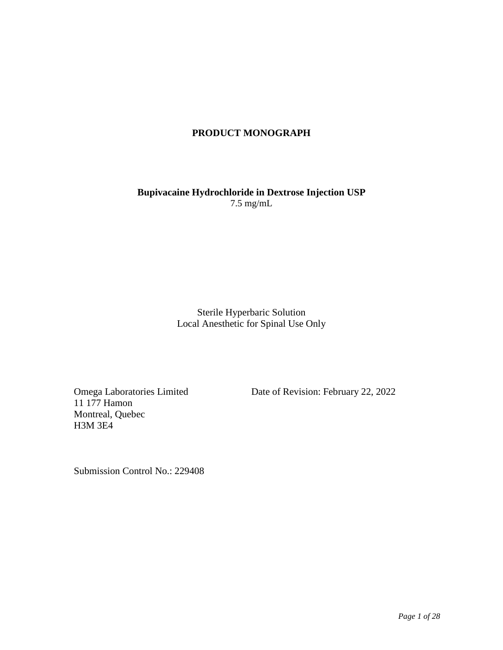## **PRODUCT MONOGRAPH**

**Bupivacaine Hydrochloride in Dextrose Injection USP**  7.5 mg/mL

> Sterile Hyperbaric Solution Local Anesthetic for Spinal Use Only

11 177 Hamon Montreal, Quebec H3M 3E4

Omega Laboratories Limited Date of Revision: February 22, 2022

Submission Control No.: 229408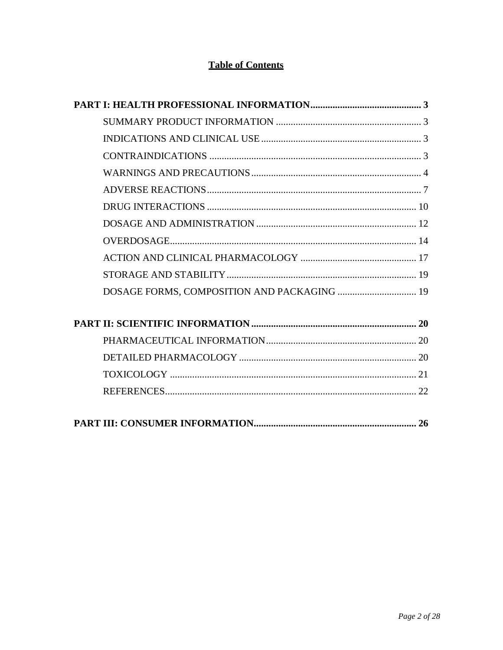# **Table of Contents**

| DOSAGE FORMS, COMPOSITION AND PACKAGING  19 |
|---------------------------------------------|
|                                             |
|                                             |
|                                             |
|                                             |
|                                             |
|                                             |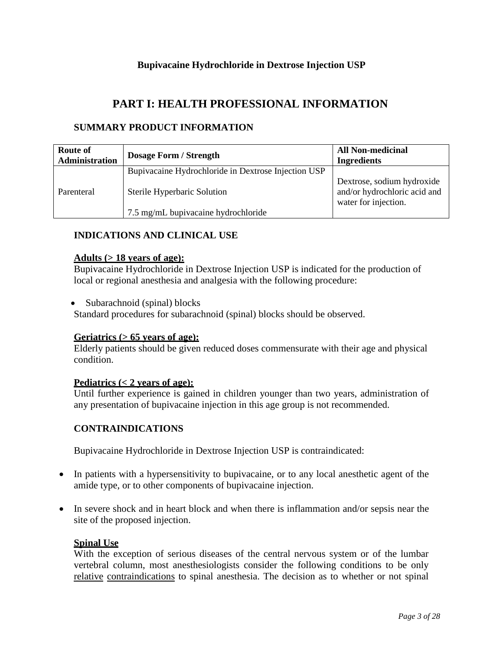# **Bupivacaine Hydrochloride in Dextrose Injection USP**

# **PART I: HEALTH PROFESSIONAL INFORMATION**

## <span id="page-2-1"></span><span id="page-2-0"></span>**SUMMARY PRODUCT INFORMATION**

| Route of<br>Administration | <b>Dosage Form / Strength</b>                       | <b>All Non-medicinal</b><br><b>Ingredients</b>                                     |
|----------------------------|-----------------------------------------------------|------------------------------------------------------------------------------------|
|                            | Bupivacaine Hydrochloride in Dextrose Injection USP |                                                                                    |
| Parenteral                 | Sterile Hyperbaric Solution                         | Dextrose, sodium hydroxide<br>and/or hydrochloric acid and<br>water for injection. |
|                            | 7.5 mg/mL bupivacaine hydrochloride                 |                                                                                    |

## <span id="page-2-2"></span>**INDICATIONS AND CLINICAL USE**

#### **Adults (> 18 years of age):**

Bupivacaine Hydrochloride in Dextrose Injection USP is indicated for the production of local or regional anesthesia and analgesia with the following procedure:

• Subarachnoid (spinal) blocks

Standard procedures for subarachnoid (spinal) blocks should be observed.

#### **Geriatrics (> 65 years of age):**

Elderly patients should be given reduced doses commensurate with their age and physical condition.

#### **Pediatrics (< 2 years of age):**

Until further experience is gained in children younger than two years, administration of any presentation of bupivacaine injection in this age group is not recommended.

#### <span id="page-2-3"></span>**CONTRAINDICATIONS**

Bupivacaine Hydrochloride in Dextrose Injection USP is contraindicated:

- In patients with a hypersensitivity to bupivacaine, or to any local anesthetic agent of the amide type, or to other components of bupivacaine injection.
- In severe shock and in heart block and when there is inflammation and/or sepsis near the site of the proposed injection.

## **Spinal Use**

With the exception of serious diseases of the central nervous system or of the lumbar vertebral column, most anesthesiologists consider the following conditions to be only relative contraindications to spinal anesthesia. The decision as to whether or not spinal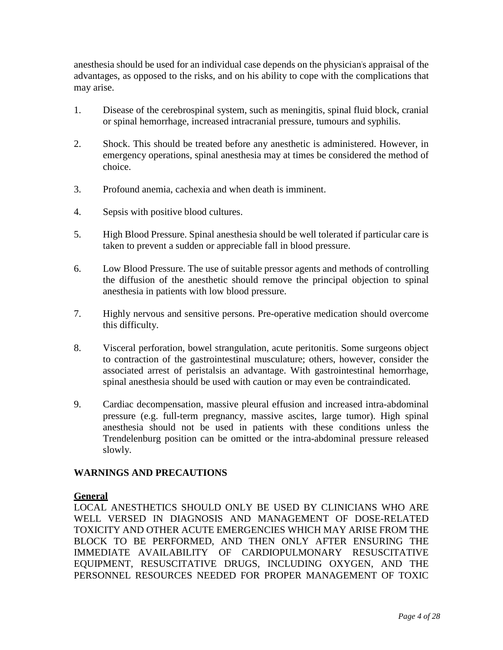anesthesia should be used for an individual case depends on the physician's appraisal of the advantages, as opposed to the risks, and on his ability to cope with the complications that may arise.

- 1. Disease of the cerebrospinal system, such as meningitis, spinal fluid block, cranial or spinal hemorrhage, increased intracranial pressure, tumours and syphilis.
- 2. Shock. This should be treated before any anesthetic is administered. However, in emergency operations, spinal anesthesia may at times be considered the method of choice.
- 3. Profound anemia, cachexia and when death is imminent.
- 4. Sepsis with positive blood cultures.
- 5. High Blood Pressure. Spinal anesthesia should be well tolerated if particular care is taken to prevent a sudden or appreciable fall in blood pressure.
- 6. Low Blood Pressure. The use of suitable pressor agents and methods of controlling the diffusion of the anesthetic should remove the principal objection to spinal anesthesia in patients with low blood pressure.
- 7. Highly nervous and sensitive persons. Pre-operative medication should overcome this difficulty.
- 8. Visceral perforation, bowel strangulation, acute peritonitis. Some surgeons object to contraction of the gastrointestinal musculature; others, however, consider the associated arrest of peristalsis an advantage. With gastrointestinal hemorrhage, spinal anesthesia should be used with caution or may even be contraindicated.
- 9. Cardiac decompensation, massive pleural effusion and increased intra-abdominal pressure (e.g. full-term pregnancy, massive ascites, large tumor). High spinal anesthesia should not be used in patients with these conditions unless the Trendelenburg position can be omitted or the intra-abdominal pressure released slowly.

#### <span id="page-3-0"></span>**WARNINGS AND PRECAUTIONS**

### **General**

LOCAL ANESTHETICS SHOULD ONLY BE USED BY CLINICIANS WHO ARE WELL VERSED IN DIAGNOSIS AND MANAGEMENT OF DOSE-RELATED TOXICITY AND OTHER ACUTE EMERGENCIES WHICH MAY ARISE FROM THE BLOCK TO BE PERFORMED, AND THEN ONLY AFTER ENSURING THE IMMEDIATE AVAILABILITY OF CARDIOPULMONARY RESUSCITATIVE EQUIPMENT, RESUSCITATIVE DRUGS, INCLUDING OXYGEN, AND THE PERSONNEL RESOURCES NEEDED FOR PROPER MANAGEMENT OF TOXIC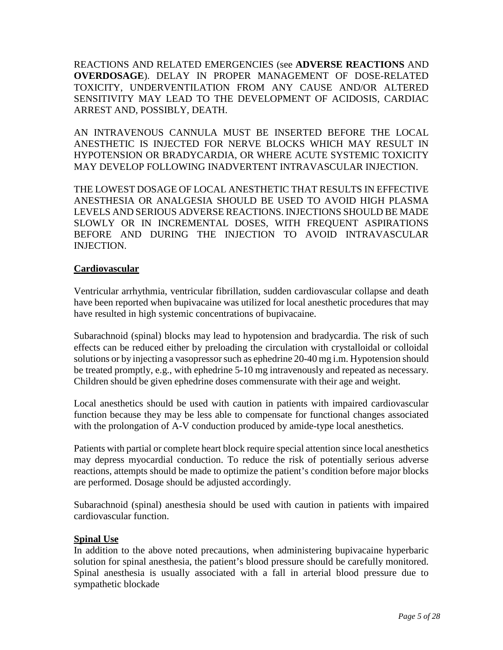REACTIONS AND RELATED EMERGENCIES (see **ADVERSE REACTIONS** AND **OVERDOSAGE**). DELAY IN PROPER MANAGEMENT OF DOSE-RELATED TOXICITY, UNDERVENTILATION FROM ANY CAUSE AND/OR ALTERED SENSITIVITY MAY LEAD TO THE DEVELOPMENT OF ACIDOSIS, CARDIAC ARREST AND, POSSIBLY, DEATH.

AN INTRAVENOUS CANNULA MUST BE INSERTED BEFORE THE LOCAL ANESTHETIC IS INJECTED FOR NERVE BLOCKS WHICH MAY RESULT IN HYPOTENSION OR BRADYCARDIA, OR WHERE ACUTE SYSTEMIC TOXICITY MAY DEVELOP FOLLOWING INADVERTENT INTRAVASCULAR INJECTION.

THE LOWEST DOSAGE OF LOCAL ANESTHETIC THAT RESULTS IN EFFECTIVE ANESTHESIA OR ANALGESIA SHOULD BE USED TO AVOID HIGH PLASMA LEVELS AND SERIOUS ADVERSE REACTIONS. INJECTIONS SHOULD BE MADE SLOWLY OR IN INCREMENTAL DOSES, WITH FREQUENT ASPIRATIONS BEFORE AND DURING THE INJECTION TO AVOID INTRAVASCULAR INJECTION.

## **Cardiovascular**

Ventricular arrhythmia, ventricular fibrillation, sudden cardiovascular collapse and death have been reported when bupivacaine was utilized for local anesthetic procedures that may have resulted in high systemic concentrations of bupivacaine.

Subarachnoid (spinal) blocks may lead to hypotension and bradycardia. The risk of such effects can be reduced either by preloading the circulation with crystalloidal or colloidal solutions or by injecting a vasopressor such as ephedrine 20-40 mg i.m. Hypotension should be treated promptly, e.g., with ephedrine 5-10 mg intravenously and repeated as necessary. Children should be given ephedrine doses commensurate with their age and weight.

Local anesthetics should be used with caution in patients with impaired cardiovascular function because they may be less able to compensate for functional changes associated with the prolongation of A-V conduction produced by amide-type local anesthetics.

Patients with partial or complete heart block require special attention since local anesthetics may depress myocardial conduction. To reduce the risk of potentially serious adverse reactions, attempts should be made to optimize the patient's condition before major blocks are performed. Dosage should be adjusted accordingly.

Subarachnoid (spinal) anesthesia should be used with caution in patients with impaired cardiovascular function.

#### **Spinal Use**

In addition to the above noted precautions, when administering bupivacaine hyperbaric solution for spinal anesthesia, the patient's blood pressure should be carefully monitored. Spinal anesthesia is usually associated with a fall in arterial blood pressure due to sympathetic blockade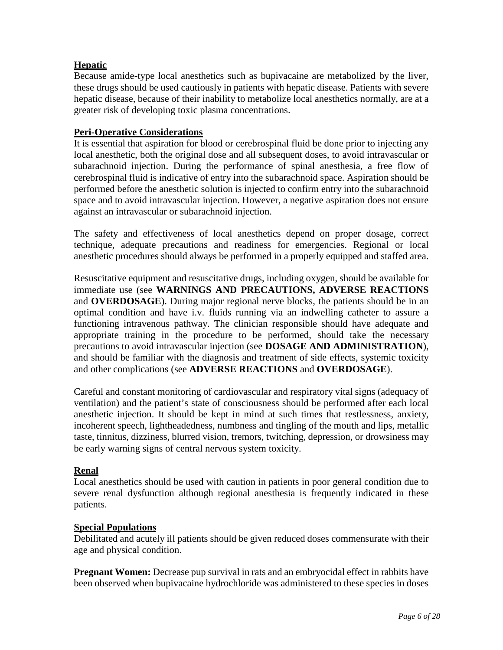# **Hepatic**

Because amide-type local anesthetics such as bupivacaine are metabolized by the liver, these drugs should be used cautiously in patients with hepatic disease. Patients with severe hepatic disease, because of their inability to metabolize local anesthetics normally, are at a greater risk of developing toxic plasma concentrations.

## **Peri-Operative Considerations**

It is essential that aspiration for blood or cerebrospinal fluid be done prior to injecting any local anesthetic, both the original dose and all subsequent doses, to avoid intravascular or subarachnoid injection. During the performance of spinal anesthesia, a free flow of cerebrospinal fluid is indicative of entry into the subarachnoid space. Aspiration should be performed before the anesthetic solution is injected to confirm entry into the subarachnoid space and to avoid intravascular injection. However, a negative aspiration does not ensure against an intravascular or subarachnoid injection.

The safety and effectiveness of local anesthetics depend on proper dosage, correct technique, adequate precautions and readiness for emergencies. Regional or local anesthetic procedures should always be performed in a properly equipped and staffed area.

Resuscitative equipment and resuscitative drugs, including oxygen, should be available for immediate use (see **WARNINGS AND PRECAUTIONS, ADVERSE REACTIONS**  and **OVERDOSAGE**). During major regional nerve blocks, the patients should be in an optimal condition and have i.v. fluids running via an indwelling catheter to assure a functioning intravenous pathway. The clinician responsible should have adequate and appropriate training in the procedure to be performed, should take the necessary precautions to avoid intravascular injection (see **DOSAGE AND ADMINISTRATION**), and should be familiar with the diagnosis and treatment of side effects, systemic toxicity and other complications (see **ADVERSE REACTIONS** and **OVERDOSAGE**).

Careful and constant monitoring of cardiovascular and respiratory vital signs (adequacy of ventilation) and the patient's state of consciousness should be performed after each local anesthetic injection. It should be kept in mind at such times that restlessness, anxiety, incoherent speech, lightheadedness, numbness and tingling of the mouth and lips, metallic taste, tinnitus, dizziness, blurred vision, tremors, twitching, depression, or drowsiness may be early warning signs of central nervous system toxicity.

#### **Renal**

Local anesthetics should be used with caution in patients in poor general condition due to severe renal dysfunction although regional anesthesia is frequently indicated in these patients.

### **Special Populations**

Debilitated and acutely ill patients should be given reduced doses commensurate with their age and physical condition.

**Pregnant Women:** Decrease pup survival in rats and an embryocidal effect in rabbits have been observed when bupivacaine hydrochloride was administered to these species in doses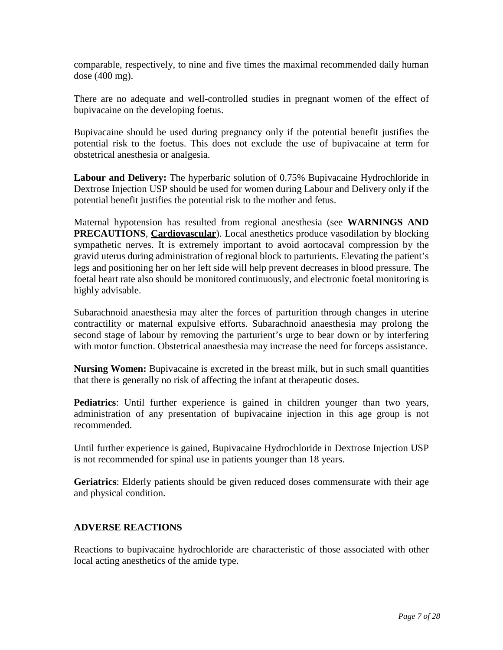comparable, respectively, to nine and five times the maximal recommended daily human dose (400 mg).

There are no adequate and well-controlled studies in pregnant women of the effect of bupivacaine on the developing foetus.

Bupivacaine should be used during pregnancy only if the potential benefit justifies the potential risk to the foetus. This does not exclude the use of bupivacaine at term for obstetrical anesthesia or analgesia.

**Labour and Delivery:** The hyperbaric solution of 0.75% Bupivacaine Hydrochloride in Dextrose Injection USP should be used for women during Labour and Delivery only if the potential benefit justifies the potential risk to the mother and fetus.

Maternal hypotension has resulted from regional anesthesia (see **WARNINGS AND PRECAUTIONS**, **Cardiovascular**). Local anesthetics produce vasodilation by blocking sympathetic nerves. It is extremely important to avoid aortocaval compression by the gravid uterus during administration of regional block to parturients. Elevating the patient's legs and positioning her on her left side will help prevent decreases in blood pressure. The foetal heart rate also should be monitored continuously, and electronic foetal monitoring is highly advisable.

Subarachnoid anaesthesia may alter the forces of parturition through changes in uterine contractility or maternal expulsive efforts. Subarachnoid anaesthesia may prolong the second stage of labour by removing the parturient's urge to bear down or by interfering with motor function. Obstetrical anaesthesia may increase the need for forceps assistance.

**Nursing Women:** Bupivacaine is excreted in the breast milk, but in such small quantities that there is generally no risk of affecting the infant at therapeutic doses.

**Pediatrics**: Until further experience is gained in children younger than two years, administration of any presentation of bupivacaine injection in this age group is not recommended.

Until further experience is gained, Bupivacaine Hydrochloride in Dextrose Injection USP is not recommended for spinal use in patients younger than 18 years.

**Geriatrics**: Elderly patients should be given reduced doses commensurate with their age and physical condition.

# <span id="page-6-0"></span>**ADVERSE REACTIONS**

Reactions to bupivacaine hydrochloride are characteristic of those associated with other local acting anesthetics of the amide type.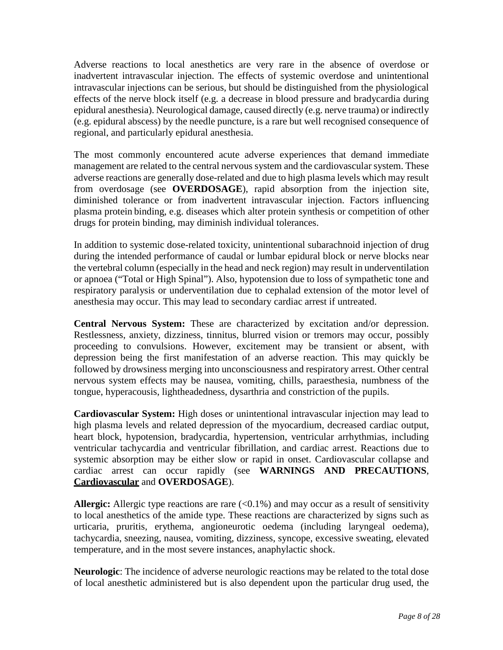Adverse reactions to local anesthetics are very rare in the absence of overdose or inadvertent intravascular injection. The effects of systemic overdose and unintentional intravascular injections can be serious, but should be distinguished from the physiological effects of the nerve block itself (e.g. a decrease in blood pressure and bradycardia during epidural anesthesia). Neurological damage, caused directly (e.g. nerve trauma) or indirectly (e.g. epidural abscess) by the needle puncture, is a rare but well recognised consequence of regional, and particularly epidural anesthesia.

The most commonly encountered acute adverse experiences that demand immediate management are related to the central nervous system and the cardiovascular system. These adverse reactions are generally dose-related and due to high plasma levels which may result from overdosage (see **OVERDOSAGE**), rapid absorption from the injection site, diminished tolerance or from inadvertent intravascular injection. Factors influencing plasma protein binding, e.g. diseases which alter protein synthesis or competition of other drugs for protein binding, may diminish individual tolerances.

In addition to systemic dose-related toxicity, unintentional subarachnoid injection of drug during the intended performance of caudal or lumbar epidural block or nerve blocks near the vertebral column (especially in the head and neck region) may result in underventilation or apnoea ("Total or High Spinal"). Also, hypotension due to loss of sympathetic tone and respiratory paralysis or underventilation due to cephalad extension of the motor level of anesthesia may occur. This may lead to secondary cardiac arrest if untreated.

**Central Nervous System:** These are characterized by excitation and/or depression. Restlessness, anxiety, dizziness, tinnitus, blurred vision or tremors may occur, possibly proceeding to convulsions. However, excitement may be transient or absent, with depression being the first manifestation of an adverse reaction. This may quickly be followed by drowsiness merging into unconsciousness and respiratory arrest. Other central nervous system effects may be nausea, vomiting, chills, paraesthesia, numbness of the tongue, hyperacousis, lightheadedness, dysarthria and constriction of the pupils.

**Cardiovascular System:** High doses or unintentional intravascular injection may lead to high plasma levels and related depression of the myocardium, decreased cardiac output, heart block, hypotension, bradycardia, hypertension, ventricular arrhythmias, including ventricular tachycardia and ventricular fibrillation, and cardiac arrest. Reactions due to systemic absorption may be either slow or rapid in onset. Cardiovascular collapse and cardiac arrest can occur rapidly (see **WARNINGS AND PRECAUTIONS**, **Cardiovascular** and **OVERDOSAGE**).

Allergic: Allergic type reactions are rare  $(<0.1\%)$  and may occur as a result of sensitivity to local anesthetics of the amide type. These reactions are characterized by signs such as urticaria, pruritis, erythema, angioneurotic oedema (including laryngeal oedema), tachycardia, sneezing, nausea, vomiting, dizziness, syncope, excessive sweating, elevated temperature, and in the most severe instances, anaphylactic shock.

**Neurologic**: The incidence of adverse neurologic reactions may be related to the total dose of local anesthetic administered but is also dependent upon the particular drug used, the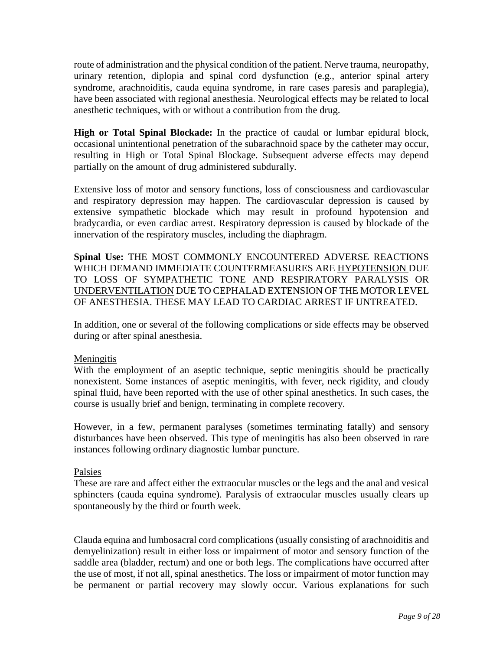route of administration and the physical condition of the patient. Nerve trauma, neuropathy, urinary retention, diplopia and spinal cord dysfunction (e.g., anterior spinal artery syndrome, arachnoiditis, cauda equina syndrome, in rare cases paresis and paraplegia), have been associated with regional anesthesia. Neurological effects may be related to local anesthetic techniques, with or without a contribution from the drug.

**High or Total Spinal Blockade:** In the practice of caudal or lumbar epidural block, occasional unintentional penetration of the subarachnoid space by the catheter may occur, resulting in High or Total Spinal Blockage. Subsequent adverse effects may depend partially on the amount of drug administered subdurally.

Extensive loss of motor and sensory functions, loss of consciousness and cardiovascular and respiratory depression may happen. The cardiovascular depression is caused by extensive sympathetic blockade which may result in profound hypotension and bradycardia, or even cardiac arrest. Respiratory depression is caused by blockade of the innervation of the respiratory muscles, including the diaphragm.

**Spinal Use:** THE MOST COMMONLY ENCOUNTERED ADVERSE REACTIONS WHICH DEMAND IMMEDIATE COUNTERMEASURES ARE HYPOTENSION DUE TO LOSS OF SYMPATHETIC TONE AND RESPIRATORY PARALYSIS OR UNDERVENTILATION DUE TO CEPHALAD EXTENSION OF THE MOTOR LEVEL OF ANESTHESIA. THESE MAY LEAD TO CARDIAC ARREST IF UNTREATED.

In addition, one or several of the following complications or side effects may be observed during or after spinal anesthesia.

#### Meningitis

With the employment of an aseptic technique, septic meningitis should be practically nonexistent. Some instances of aseptic meningitis, with fever, neck rigidity, and cloudy spinal fluid, have been reported with the use of other spinal anesthetics. In such cases, the course is usually brief and benign, terminating in complete recovery.

However, in a few, permanent paralyses (sometimes terminating fatally) and sensory disturbances have been observed. This type of meningitis has also been observed in rare instances following ordinary diagnostic lumbar puncture.

#### Palsies

These are rare and affect either the extraocular muscles or the legs and the anal and vesical sphincters (cauda equina syndrome). Paralysis of extraocular muscles usually clears up spontaneously by the third or fourth week.

Clauda equina and lumbosacral cord complications (usually consisting of arachnoiditis and demyelinization) result in either loss or impairment of motor and sensory function of the saddle area (bladder, rectum) and one or both legs. The complications have occurred after the use of most, if not all, spinal anesthetics. The loss or impairment of motor function may be permanent or partial recovery may slowly occur. Various explanations for such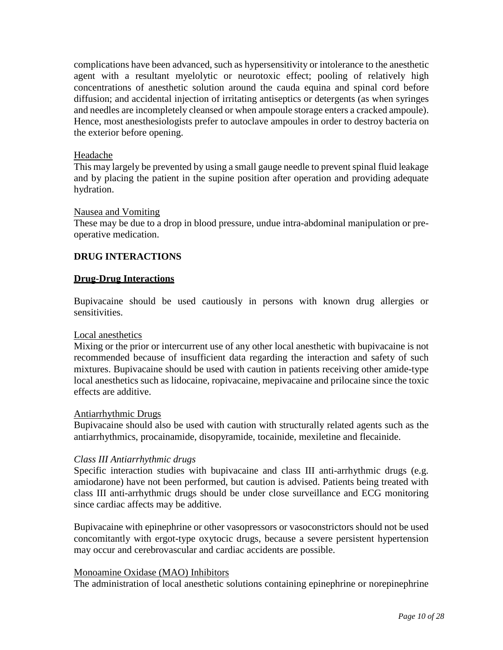complications have been advanced, such as hypersensitivity or intolerance to the anesthetic agent with a resultant myelolytic or neurotoxic effect; pooling of relatively high concentrations of anesthetic solution around the cauda equina and spinal cord before diffusion; and accidental injection of irritating antiseptics or detergents (as when syringes and needles are incompletely cleansed or when ampoule storage enters a cracked ampoule). Hence, most anesthesiologists prefer to autoclave ampoules in order to destroy bacteria on the exterior before opening.

#### Headache

This may largely be prevented by using a small gauge needle to prevent spinal fluid leakage and by placing the patient in the supine position after operation and providing adequate hydration.

#### Nausea and Vomiting

These may be due to a drop in blood pressure, undue intra-abdominal manipulation or preoperative medication.

#### <span id="page-9-0"></span>**DRUG INTERACTIONS**

#### **Drug-Drug Interactions**

Bupivacaine should be used cautiously in persons with known drug allergies or sensitivities.

#### Local anesthetics

Mixing or the prior or intercurrent use of any other local anesthetic with bupivacaine is not recommended because of insufficient data regarding the interaction and safety of such mixtures. Bupivacaine should be used with caution in patients receiving other amide-type local anesthetics such as lidocaine, ropivacaine, mepivacaine and prilocaine since the toxic effects are additive.

#### Antiarrhythmic Drugs

Bupivacaine should also be used with caution with structurally related agents such as the antiarrhythmics, procainamide, disopyramide, tocainide, mexiletine and flecainide.

#### *Class III Antiarrhythmic drugs*

Specific interaction studies with bupivacaine and class III anti-arrhythmic drugs (e.g. amiodarone) have not been performed, but caution is advised. Patients being treated with class III anti-arrhythmic drugs should be under close surveillance and ECG monitoring since cardiac affects may be additive.

Bupivacaine with epinephrine or other vasopressors or vasoconstrictors should not be used concomitantly with ergot-type oxytocic drugs, because a severe persistent hypertension may occur and cerebrovascular and cardiac accidents are possible.

#### Monoamine Oxidase (MAO) Inhibitors

The administration of local anesthetic solutions containing epinephrine or norepinephrine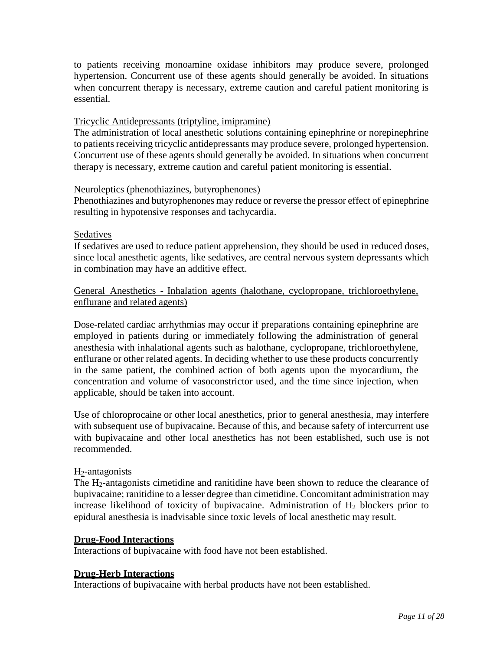to patients receiving monoamine oxidase inhibitors may produce severe, prolonged hypertension. Concurrent use of these agents should generally be avoided. In situations when concurrent therapy is necessary, extreme caution and careful patient monitoring is essential.

### Tricyclic Antidepressants (triptyline, imipramine)

The administration of local anesthetic solutions containing epinephrine or norepinephrine to patients receiving tricyclic antidepressants may produce severe, prolonged hypertension. Concurrent use of these agents should generally be avoided. In situations when concurrent therapy is necessary, extreme caution and careful patient monitoring is essential.

#### Neuroleptics (phenothiazines, butyrophenones)

Phenothiazines and butyrophenones may reduce or reverse the pressor effect of epinephrine resulting in hypotensive responses and tachycardia.

#### Sedatives

If sedatives are used to reduce patient apprehension, they should be used in reduced doses, since local anesthetic agents, like sedatives, are central nervous system depressants which in combination may have an additive effect.

### General Anesthetics - Inhalation agents (halothane, cyclopropane, trichloroethylene, enflurane and related agents)

Dose-related cardiac arrhythmias may occur if preparations containing epinephrine are employed in patients during or immediately following the administration of general anesthesia with inhalational agents such as halothane, cyclopropane, trichloroethylene, enflurane or other related agents. In deciding whether to use these products concurrently in the same patient, the combined action of both agents upon the myocardium, the concentration and volume of vasoconstrictor used, and the time since injection, when applicable, should be taken into account.

Use of chloroprocaine or other local anesthetics, prior to general anesthesia, may interfere with subsequent use of bupivacaine. Because of this, and because safety of intercurrent use with bupivacaine and other local anesthetics has not been established, such use is not recommended.

#### H2-antagonists

The H<sub>2</sub>-antagonists cimetidine and ranitidine have been shown to reduce the clearance of bupivacaine; ranitidine to a lesser degree than cimetidine. Concomitant administration may increase likelihood of toxicity of bupivacaine. Administration of H2 blockers prior to epidural anesthesia is inadvisable since toxic levels of local anesthetic may result.

#### **Drug-Food Interactions**

Interactions of bupivacaine with food have not been established.

#### **Drug-Herb Interactions**

Interactions of bupivacaine with herbal products have not been established.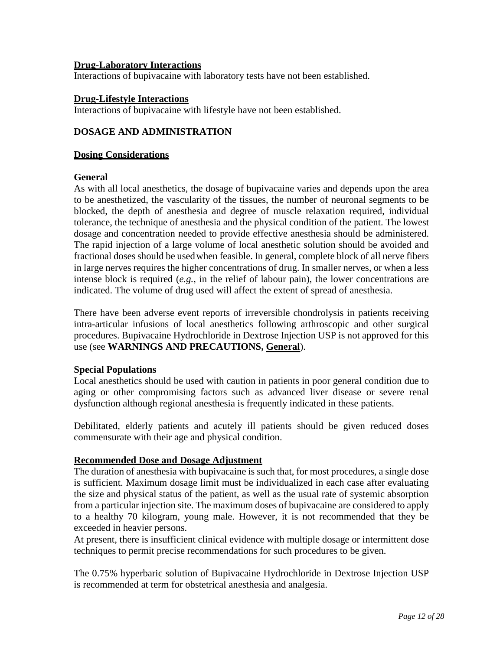#### **Drug-Laboratory Interactions**

Interactions of bupivacaine with laboratory tests have not been established.

#### **Drug-Lifestyle Interactions**

Interactions of bupivacaine with lifestyle have not been established.

### <span id="page-11-0"></span>**DOSAGE AND ADMINISTRATION**

#### **Dosing Considerations**

#### **General**

As with all local anesthetics, the dosage of bupivacaine varies and depends upon the area to be anesthetized, the vascularity of the tissues, the number of neuronal segments to be blocked, the depth of anesthesia and degree of muscle relaxation required, individual tolerance, the technique of anesthesia and the physical condition of the patient. The lowest dosage and concentration needed to provide effective anesthesia should be administered. The rapid injection of a large volume of local anesthetic solution should be avoided and fractional doses should be usedwhen feasible. In general, complete block of all nerve fibers in large nerves requires the higher concentrations of drug. In smaller nerves, or when a less intense block is required (*e.g.*, in the relief of labour pain), the lower concentrations are indicated. The volume of drug used will affect the extent of spread of anesthesia.

There have been adverse event reports of irreversible chondrolysis in patients receiving intra-articular infusions of local anesthetics following arthroscopic and other surgical procedures. Bupivacaine Hydrochloride in Dextrose Injection USP is not approved for this use (see **WARNINGS AND PRECAUTIONS, General**).

#### **Special Populations**

Local anesthetics should be used with caution in patients in poor general condition due to aging or other compromising factors such as advanced liver disease or severe renal dysfunction although regional anesthesia is frequently indicated in these patients.

Debilitated, elderly patients and acutely ill patients should be given reduced doses commensurate with their age and physical condition.

#### **Recommended Dose and Dosage Adjustment**

The duration of anesthesia with bupivacaine is such that, for most procedures, a single dose is sufficient. Maximum dosage limit must be individualized in each case after evaluating the size and physical status of the patient, as well as the usual rate of systemic absorption from a particular injection site. The maximum doses of bupivacaine are considered to apply to a healthy 70 kilogram, young male. However, it is not recommended that they be exceeded in heavier persons.

At present, there is insufficient clinical evidence with multiple dosage or intermittent dose techniques to permit precise recommendations for such procedures to be given.

The 0.75% hyperbaric solution of Bupivacaine Hydrochloride in Dextrose Injection USP is recommended at term for obstetrical anesthesia and analgesia.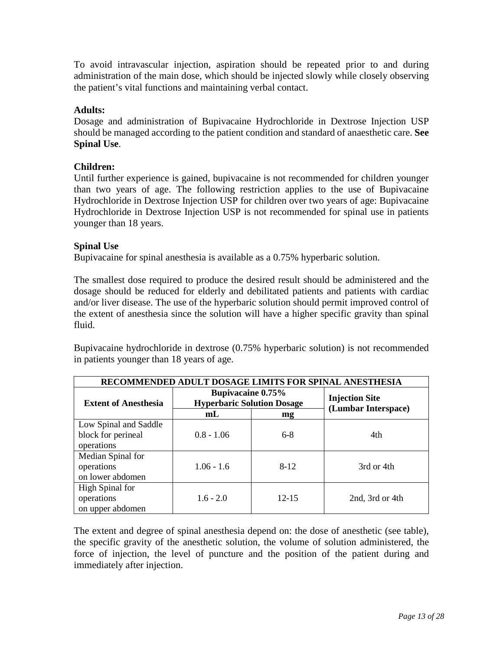To avoid intravascular injection, aspiration should be repeated prior to and during administration of the main dose, which should be injected slowly while closely observing the patient's vital functions and maintaining verbal contact.

## **Adults:**

Dosage and administration of Bupivacaine Hydrochloride in Dextrose Injection USP should be managed according to the patient condition and standard of anaesthetic care. **See Spinal Use**.

## **Children:**

Until further experience is gained, bupivacaine is not recommended for children younger than two years of age. The following restriction applies to the use of Bupivacaine Hydrochloride in Dextrose Injection USP for children over two years of age: Bupivacaine Hydrochloride in Dextrose Injection USP is not recommended for spinal use in patients younger than 18 years.

#### **Spinal Use**

Bupivacaine for spinal anesthesia is available as a 0.75% hyperbaric solution.

The smallest dose required to produce the desired result should be administered and the dosage should be reduced for elderly and debilitated patients and patients with cardiac and/or liver disease. The use of the hyperbaric solution should permit improved control of the extent of anesthesia since the solution will have a higher specific gravity than spinal fluid.

Bupivacaine hydrochloride in dextrose (0.75% hyperbaric solution) is not recommended in patients younger than 18 years of age.

| RECOMMENDED ADULT DOSAGE LIMITS FOR SPINAL ANESTHESIA |                                                               |           |                                              |
|-------------------------------------------------------|---------------------------------------------------------------|-----------|----------------------------------------------|
| <b>Extent of Anesthesia</b>                           | <b>Bupivacaine 0.75%</b><br><b>Hyperbaric Solution Dosage</b> |           | <b>Injection Site</b><br>(Lumbar Interspace) |
|                                                       | mL                                                            | mg        |                                              |
| Low Spinal and Saddle                                 |                                                               |           |                                              |
| block for perineal                                    | $0.8 - 1.06$                                                  | $6-8$     | 4th                                          |
| operations                                            |                                                               |           |                                              |
| Median Spinal for                                     |                                                               |           |                                              |
| operations                                            | $1.06 - 1.6$                                                  | $8-12$    | 3rd or 4th                                   |
| on lower abdomen                                      |                                                               |           |                                              |
| <b>High Spinal for</b>                                |                                                               |           |                                              |
| operations                                            | $1.6 - 2.0$                                                   | $12 - 15$ | 2nd, 3rd or 4th                              |
| on upper abdomen                                      |                                                               |           |                                              |

The extent and degree of spinal anesthesia depend on: the dose of anesthetic (see table), the specific gravity of the anesthetic solution, the volume of solution administered, the force of injection, the level of puncture and the position of the patient during and immediately after injection.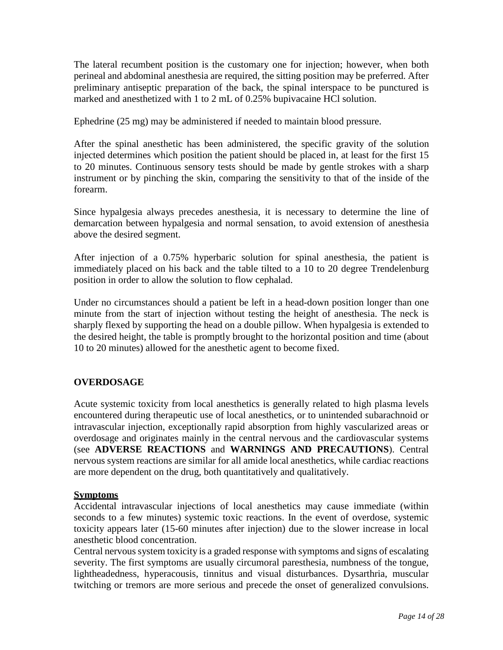The lateral recumbent position is the customary one for injection; however, when both perineal and abdominal anesthesia are required, the sitting position may be preferred. After preliminary antiseptic preparation of the back, the spinal interspace to be punctured is marked and anesthetized with 1 to 2 mL of 0.25% bupivacaine HCl solution.

Ephedrine (25 mg) may be administered if needed to maintain blood pressure.

After the spinal anesthetic has been administered, the specific gravity of the solution injected determines which position the patient should be placed in, at least for the first 15 to 20 minutes. Continuous sensory tests should be made by gentle strokes with a sharp instrument or by pinching the skin, comparing the sensitivity to that of the inside of the forearm.

Since hypalgesia always precedes anesthesia, it is necessary to determine the line of demarcation between hypalgesia and normal sensation, to avoid extension of anesthesia above the desired segment.

After injection of a 0.75% hyperbaric solution for spinal anesthesia, the patient is immediately placed on his back and the table tilted to a 10 to 20 degree Trendelenburg position in order to allow the solution to flow cephalad.

Under no circumstances should a patient be left in a head-down position longer than one minute from the start of injection without testing the height of anesthesia. The neck is sharply flexed by supporting the head on a double pillow. When hypalgesia is extended to the desired height, the table is promptly brought to the horizontal position and time (about 10 to 20 minutes) allowed for the anesthetic agent to become fixed.

# <span id="page-13-0"></span>**OVERDOSAGE**

Acute systemic toxicity from local anesthetics is generally related to high plasma levels encountered during therapeutic use of local anesthetics, or to unintended subarachnoid or intravascular injection, exceptionally rapid absorption from highly vascularized areas or overdosage and originates mainly in the central nervous and the cardiovascular systems (see **ADVERSE REACTIONS** and **WARNINGS AND PRECAUTIONS**). Central nervous system reactions are similar for all amide local anesthetics, while cardiac reactions are more dependent on the drug, both quantitatively and qualitatively.

#### **Symptoms**

Accidental intravascular injections of local anesthetics may cause immediate (within seconds to a few minutes) systemic toxic reactions. In the event of overdose, systemic toxicity appears later (15-60 minutes after injection) due to the slower increase in local anesthetic blood concentration.

Central nervous system toxicity is a graded response with symptoms and signs of escalating severity. The first symptoms are usually circumoral paresthesia, numbness of the tongue, lightheadedness, hyperacousis, tinnitus and visual disturbances. Dysarthria, muscular twitching or tremors are more serious and precede the onset of generalized convulsions.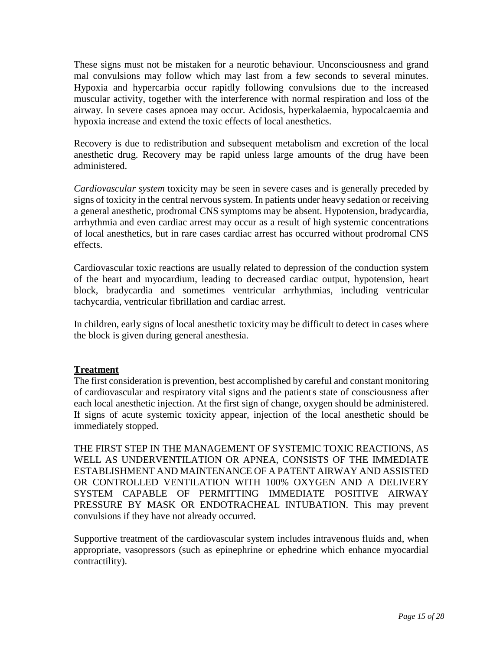These signs must not be mistaken for a neurotic behaviour. Unconsciousness and grand mal convulsions may follow which may last from a few seconds to several minutes. Hypoxia and hypercarbia occur rapidly following convulsions due to the increased muscular activity, together with the interference with normal respiration and loss of the airway. In severe cases apnoea may occur. Acidosis, hyperkalaemia, hypocalcaemia and hypoxia increase and extend the toxic effects of local anesthetics.

Recovery is due to redistribution and subsequent metabolism and excretion of the local anesthetic drug. Recovery may be rapid unless large amounts of the drug have been administered.

*Cardiovascular system* toxicity may be seen in severe cases and is generally preceded by signs of toxicity in the central nervous system. In patients under heavy sedation or receiving a general anesthetic, prodromal CNS symptoms may be absent. Hypotension, bradycardia, arrhythmia and even cardiac arrest may occur as a result of high systemic concentrations of local anesthetics, but in rare cases cardiac arrest has occurred without prodromal CNS effects.

Cardiovascular toxic reactions are usually related to depression of the conduction system of the heart and myocardium, leading to decreased cardiac output, hypotension, heart block, bradycardia and sometimes ventricular arrhythmias, including ventricular tachycardia, ventricular fibrillation and cardiac arrest.

In children, early signs of local anesthetic toxicity may be difficult to detect in cases where the block is given during general anesthesia.

#### **Treatment**

The first consideration is prevention, best accomplished by careful and constant monitoring of cardiovascular and respiratory vital signs and the patient's state of consciousness after each local anesthetic injection. At the first sign of change, oxygen should be administered. If signs of acute systemic toxicity appear, injection of the local anesthetic should be immediately stopped.

THE FIRST STEP IN THE MANAGEMENT OF SYSTEMIC TOXIC REACTIONS, AS WELL AS UNDERVENTILATION OR APNEA, CONSISTS OF THE IMMEDIATE ESTABLISHMENT AND MAINTENANCE OF A PATENT AIRWAY AND ASSISTED OR CONTROLLED VENTILATION WITH 100% OXYGEN AND A DELIVERY SYSTEM CAPABLE OF PERMITTING IMMEDIATE POSITIVE AIRWAY PRESSURE BY MASK OR ENDOTRACHEAL INTUBATION. This may prevent convulsions if they have not already occurred.

Supportive treatment of the cardiovascular system includes intravenous fluids and, when appropriate, vasopressors (such as epinephrine or ephedrine which enhance myocardial contractility).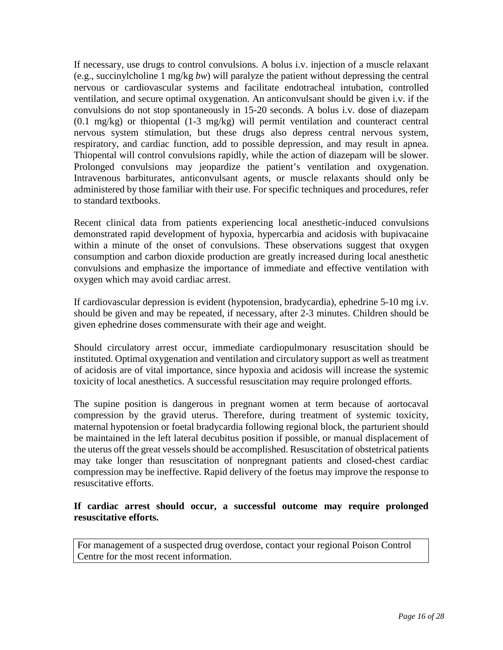If necessary, use drugs to control convulsions. A bolus i.v. injection of a muscle relaxant (e.g., succinylcholine 1 mg/kg *bw*) will paralyze the patient without depressing the central nervous or cardiovascular systems and facilitate endotracheal intubation, controlled ventilation, and secure optimal oxygenation. An anticonvulsant should be given i.v. if the convulsions do not stop spontaneously in 15-20 seconds. A bolus i.v. dose of diazepam (0.1 mg/kg) or thiopental (1-3 mg/kg) will permit ventilation and counteract central nervous system stimulation, but these drugs also depress central nervous system, respiratory, and cardiac function, add to possible depression, and may result in apnea. Thiopental will control convulsions rapidly, while the action of diazepam will be slower. Prolonged convulsions may jeopardize the patient's ventilation and oxygenation. Intravenous barbiturates, anticonvulsant agents, or muscle relaxants should only be administered by those familiar with their use. For specific techniques and procedures, refer to standard textbooks.

Recent clinical data from patients experiencing local anesthetic-induced convulsions demonstrated rapid development of hypoxia, hypercarbia and acidosis with bupivacaine within a minute of the onset of convulsions. These observations suggest that oxygen consumption and carbon dioxide production are greatly increased during local anesthetic convulsions and emphasize the importance of immediate and effective ventilation with oxygen which may avoid cardiac arrest.

If cardiovascular depression is evident (hypotension, bradycardia), ephedrine 5-10 mg i.v. should be given and may be repeated, if necessary, after 2-3 minutes. Children should be given ephedrine doses commensurate with their age and weight.

Should circulatory arrest occur, immediate cardiopulmonary resuscitation should be instituted. Optimal oxygenation and ventilation and circulatory support as well as treatment of acidosis are of vital importance, since hypoxia and acidosis will increase the systemic toxicity of local anesthetics. A successful resuscitation may require prolonged efforts.

The supine position is dangerous in pregnant women at term because of aortocaval compression by the gravid uterus. Therefore, during treatment of systemic toxicity, maternal hypotension or foetal bradycardia following regional block, the parturient should be maintained in the left lateral decubitus position if possible, or manual displacement of the uterus off the great vessels should be accomplished. Resuscitation of obstetrical patients may take longer than resuscitation of nonpregnant patients and closed-chest cardiac compression may be ineffective. Rapid delivery of the foetus may improve the response to resuscitative efforts.

### **If cardiac arrest should occur, a successful outcome may require prolonged resuscitative efforts.**

<span id="page-15-0"></span>For management of a suspected drug overdose, contact your regional Poison Control Centre for the most recent information.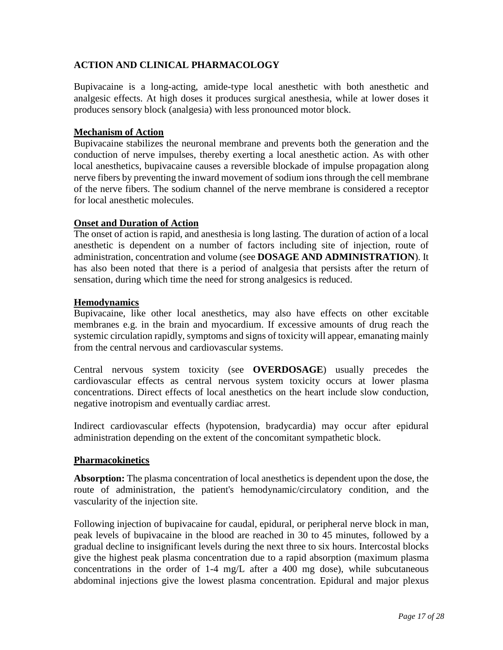# **ACTION AND CLINICAL PHARMACOLOGY**

Bupivacaine is a long-acting, amide-type local anesthetic with both anesthetic and analgesic effects. At high doses it produces surgical anesthesia, while at lower doses it produces sensory block (analgesia) with less pronounced motor block.

## **Mechanism of Action**

Bupivacaine stabilizes the neuronal membrane and prevents both the generation and the conduction of nerve impulses, thereby exerting a local anesthetic action. As with other local anesthetics, bupivacaine causes a reversible blockade of impulse propagation along nerve fibers by preventing the inward movement of sodium ions through the cell membrane of the nerve fibers. The sodium channel of the nerve membrane is considered a receptor for local anesthetic molecules.

## **Onset and Duration of Action**

The onset of action is rapid, and anesthesia is long lasting. The duration of action of a local anesthetic is dependent on a number of factors including site of injection, route of administration, concentration and volume (see **DOSAGE AND ADMINISTRATION**). It has also been noted that there is a period of analgesia that persists after the return of sensation, during which time the need for strong analgesics is reduced.

## **Hemodynamics**

Bupivacaine, like other local anesthetics, may also have effects on other excitable membranes e.g. in the brain and myocardium. If excessive amounts of drug reach the systemic circulation rapidly, symptoms and signs of toxicity will appear, emanating mainly from the central nervous and cardiovascular systems.

Central nervous system toxicity (see **OVERDOSAGE**) usually precedes the cardiovascular effects as central nervous system toxicity occurs at lower plasma concentrations. Direct effects of local anesthetics on the heart include slow conduction, negative inotropism and eventually cardiac arrest.

Indirect cardiovascular effects (hypotension, bradycardia) may occur after epidural administration depending on the extent of the concomitant sympathetic block.

#### **Pharmacokinetics**

**Absorption:** The plasma concentration of local anesthetics is dependent upon the dose, the route of administration, the patient's hemodynamic/circulatory condition, and the vascularity of the injection site.

Following injection of bupivacaine for caudal, epidural, or peripheral nerve block in man, peak levels of bupivacaine in the blood are reached in 30 to 45 minutes, followed by a gradual decline to insignificant levels during the next three to six hours. Intercostal blocks give the highest peak plasma concentration due to a rapid absorption (maximum plasma concentrations in the order of 1-4 mg/L after a 400 mg dose), while subcutaneous abdominal injections give the lowest plasma concentration. Epidural and major plexus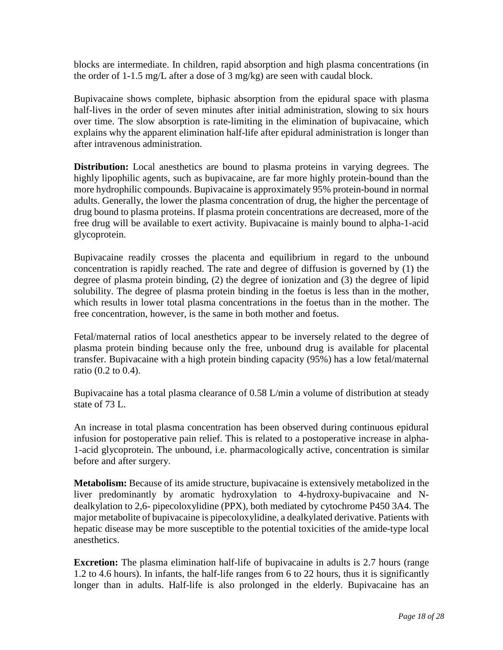blocks are intermediate. In children, rapid absorption and high plasma concentrations (in the order of 1-1.5 mg/L after a dose of 3 mg/kg) are seen with caudal block.

Bupivacaine shows complete, biphasic absorption from the epidural space with plasma half-lives in the order of seven minutes after initial administration, slowing to six hours over time. The slow absorption is rate-limiting in the elimination of bupivacaine, which explains why the apparent elimination half-life after epidural administration is longer than after intravenous administration.

**Distribution:** Local anesthetics are bound to plasma proteins in varying degrees. The highly lipophilic agents, such as bupivacaine, are far more highly protein-bound than the more hydrophilic compounds. Bupivacaine is approximately 95% protein-bound in normal adults. Generally, the lower the plasma concentration of drug, the higher the percentage of drug bound to plasma proteins. If plasma protein concentrations are decreased, more of the free drug will be available to exert activity. Bupivacaine is mainly bound to alpha-1-acid glycoprotein.

Bupivacaine readily crosses the placenta and equilibrium in regard to the unbound concentration is rapidly reached. The rate and degree of diffusion is governed by (1) the degree of plasma protein binding, (2) the degree of ionization and (3) the degree of lipid solubility. The degree of plasma protein binding in the foetus is less than in the mother, which results in lower total plasma concentrations in the foetus than in the mother. The free concentration, however, is the same in both mother and foetus.

Fetal/maternal ratios of local anesthetics appear to be inversely related to the degree of plasma protein binding because only the free, unbound drug is available for placental transfer. Bupivacaine with a high protein binding capacity (95%) has a low fetal/maternal ratio (0.2 to 0.4).

Bupivacaine has a total plasma clearance of 0.58 L/min a volume of distribution at steady state of 73 L.

An increase in total plasma concentration has been observed during continuous epidural infusion for postoperative pain relief. This is related to a postoperative increase in alpha-1-acid glycoprotein. The unbound, i.e. pharmacologically active, concentration is similar before and after surgery.

**Metabolism:** Because of its amide structure, bupivacaine is extensively metabolized in the liver predominantly by aromatic hydroxylation to 4-hydroxy-bupivacaine and Ndealkylation to 2,6- pipecoloxylidine (PPX), both mediated by cytochrome P450 3A4. The major metabolite of bupivacaine is pipecoloxylidine, a dealkylated derivative. Patients with hepatic disease may be more susceptible to the potential toxicities of the amide-type local anesthetics.

**Excretion:** The plasma elimination half-life of bupivacaine in adults is 2.7 hours (range 1.2 to 4.6 hours). In infants, the half-life ranges from 6 to 22 hours, thus it is significantly longer than in adults. Half-life is also prolonged in the elderly. Bupivacaine has an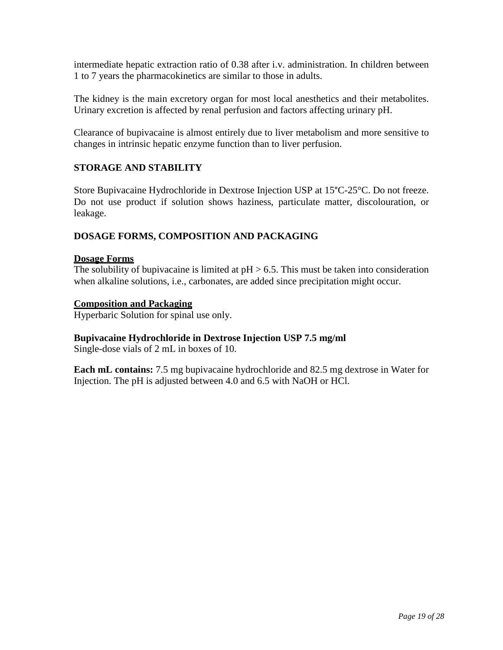intermediate hepatic extraction ratio of 0.38 after i.v. administration. In children between 1 to 7 years the pharmacokinetics are similar to those in adults.

The kidney is the main excretory organ for most local anesthetics and their metabolites. Urinary excretion is affected by renal perfusion and factors affecting urinary pH.

Clearance of bupivacaine is almost entirely due to liver metabolism and more sensitive to changes in intrinsic hepatic enzyme function than to liver perfusion.

## <span id="page-18-0"></span>**STORAGE AND STABILITY**

Store Bupivacaine Hydrochloride in Dextrose Injection USP at 15°C-25°C. Do not freeze. Do not use product if solution shows haziness, particulate matter, discolouration, or leakage.

#### <span id="page-18-1"></span>**DOSAGE FORMS, COMPOSITION AND PACKAGING**

#### **Dosage Forms**

The solubility of bupivacaine is limited at  $pH > 6.5$ . This must be taken into consideration when alkaline solutions, i.e., carbonates, are added since precipitation might occur.

## **Composition and Packaging**

Hyperbaric Solution for spinal use only.

#### **Bupivacaine Hydrochloride in Dextrose Injection USP 7.5 mg/ml**

Single-dose vials of 2 mL in boxes of 10.

<span id="page-18-2"></span>**Each mL contains:** 7.5 mg bupivacaine hydrochloride and 82.5 mg dextrose in Water for Injection. The pH is adjusted between 4.0 and 6.5 with NaOH or HCl.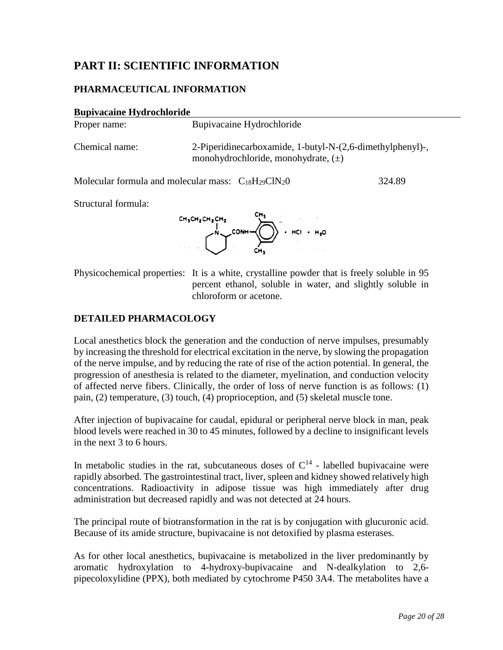# **PART II: SCIENTIFIC INFORMATION**

## <span id="page-19-0"></span>**PHARMACEUTICAL INFORMATION**

| <b>Bupivacaine Hydrochloride</b> |                                                                                                      |        |
|----------------------------------|------------------------------------------------------------------------------------------------------|--------|
| Proper name:                     | Bupivacaine Hydrochloride                                                                            |        |
| Chemical name:                   | 2-Piperidinecarboxamide, 1-butyl-N-(2,6-dimethylphenyl)-,<br>monohydrochloride, monohydrate, $(\pm)$ |        |
|                                  | Molecular formula and molecular mass: $C_{18}H_{29}C1N_20$                                           | 324.89 |
| Structural formula:              |                                                                                                      |        |
|                                  | $CH_3CH_2CH_2CH_2$<br>$H_2O$<br>$COMH -$<br>HCI.                                                     |        |

Physicochemical properties: It is a white, crystalline powder that is freely soluble in 95 percent ethanol, soluble in water, and slightly soluble in chloroform or acetone.

#### <span id="page-19-1"></span>**DETAILED PHARMACOLOGY**

Local anesthetics block the generation and the conduction of nerve impulses, presumably by increasing the threshold for electrical excitation in the nerve, by slowing the propagation of the nerve impulse, and by reducing the rate of rise of the action potential. In general, the progression of anesthesia is related to the diameter, myelination, and conduction velocity of affected nerve fibers. Clinically, the order of loss of nerve function is as follows: (1) pain, (2) temperature, (3) touch, (4) proprioception, and (5) skeletal muscle tone.

After injection of bupivacaine for caudal, epidural or peripheral nerve block in man, peak blood levels were reached in 30 to 45 minutes, followed by a decline to insignificant levels in the next 3 to 6 hours.

In metabolic studies in the rat, subcutaneous doses of  $C^{14}$  - labelled bupivacaine were rapidly absorbed. The gastrointestinal tract, liver, spleen and kidney showed relatively high concentrations. Radioactivity in adipose tissue was high immediately after drug administration but decreased rapidly and was not detected at 24 hours.

The principal route of biotransformation in the rat is by conjugation with glucuronic acid. Because of its amide structure, bupivacaine is not detoxified by plasma esterases.

As for other local anesthetics, bupivacaine is metabolized in the liver predominantly by aromatic hydroxylation to 4-hydroxy-bupivacaine and N-dealkylation to 2,6 pipecoloxylidine (PPX), both mediated by cytochrome P450 3A4. The metabolites have a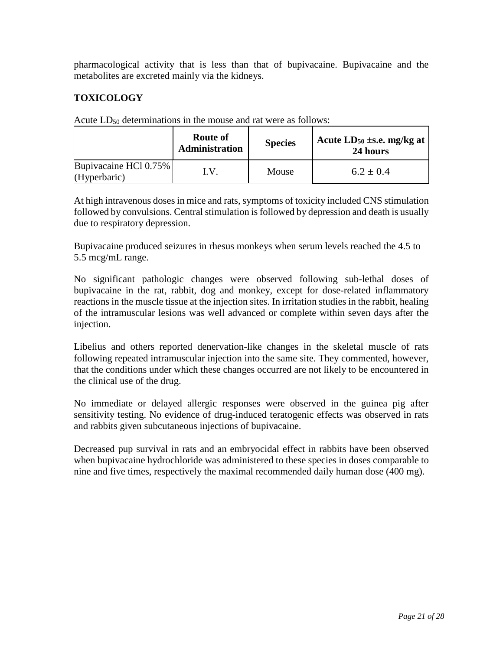pharmacological activity that is less than that of bupivacaine. Bupivacaine and the metabolites are excreted mainly via the kidneys.

# <span id="page-20-0"></span>**TOXICOLOGY**

|                                       | Route of<br><b>Administration</b> | <b>Species</b> | Acute $LD_{50}$ ±s.e. mg/kg at<br>24 hours |
|---------------------------------------|-----------------------------------|----------------|--------------------------------------------|
| Bupivacaine HCl 0.75%<br>(Hyperbaric) | I.V                               | Mouse          | $6.2 \pm 0.4$                              |

Acute  $LD_{50}$  determinations in the mouse and rat were as follows:

At high intravenous doses in mice and rats, symptoms of toxicity included CNS stimulation followed by convulsions. Central stimulation is followed by depression and death is usually due to respiratory depression.

Bupivacaine produced seizures in rhesus monkeys when serum levels reached the 4.5 to 5.5 mcg/mL range.

No significant pathologic changes were observed following sub-lethal doses of bupivacaine in the rat, rabbit, dog and monkey, except for dose-related inflammatory reactions in the muscle tissue at the injection sites. In irritation studies in the rabbit, healing of the intramuscular lesions was well advanced or complete within seven days after the injection.

Libelius and others reported denervation-like changes in the skeletal muscle of rats following repeated intramuscular injection into the same site. They commented, however, that the conditions under which these changes occurred are not likely to be encountered in the clinical use of the drug.

No immediate or delayed allergic responses were observed in the guinea pig after sensitivity testing. No evidence of drug-induced teratogenic effects was observed in rats and rabbits given subcutaneous injections of bupivacaine.

Decreased pup survival in rats and an embryocidal effect in rabbits have been observed when bupivacaine hydrochloride was administered to these species in doses comparable to nine and five times, respectively the maximal recommended daily human dose (400 mg).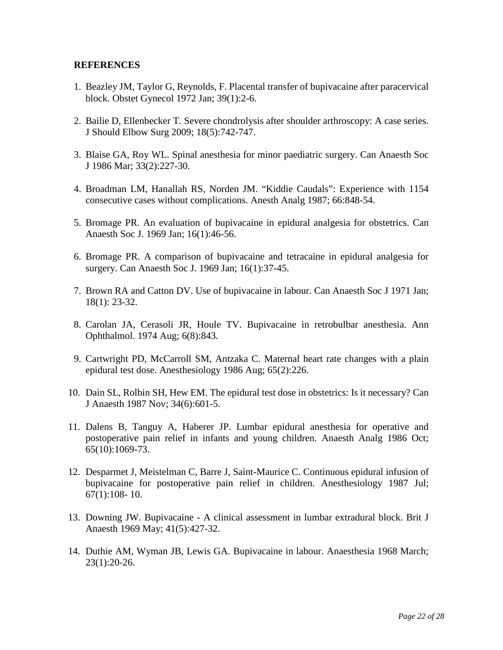#### <span id="page-21-0"></span>**REFERENCES**

- 1. Beazley JM, Taylor G, Reynolds, F. Placental transfer of bupivacaine after paracervical block. Obstet Gynecol 1972 Jan; 39(1):2-6.
- 2. Bailie D, Ellenbecker T. Severe chondrolysis after shoulder arthroscopy: A case series. J Should Elbow Surg 2009; 18(5):742-747.
- 3. Blaise GA, Roy WL. Spinal anesthesia for minor paediatric surgery. Can Anaesth Soc J 1986 Mar; 33(2):227-30.
- 4. Broadman LM, Hanallah RS, Norden JM. "Kiddie Caudals": Experience with 1154 consecutive cases without complications. Anesth Analg 1987; 66:848-54.
- 5. Bromage PR. An evaluation of bupivacaine in epidural analgesia for obstetrics. Can Anaesth Soc J. 1969 Jan; 16(1):46-56.
- 6. Bromage PR. A comparison of bupivacaine and tetracaine in epidural analgesia for surgery. Can Anaesth Soc J. 1969 Jan; 16(1):37-45.
- 7. Brown RA and Catton DV. Use of bupivacaine in labour. Can Anaesth Soc J 1971 Jan; 18(1): 23-32.
- 8. Carolan JA, Cerasoli JR, Houle TV. Bupivacaine in retrobulbar anesthesia. Ann Ophthalmol. 1974 Aug; 6(8):843.
- 9. Cartwright PD, McCarroll SM, Antzaka C. Maternal heart rate changes with a plain epidural test dose. Anesthesiology 1986 Aug; 65(2):226.
- 10. Dain SL, Rolbin SH, Hew EM. The epidural test dose in obstetrics: Is it necessary? Can J Anaesth 1987 Nov; 34(6):601-5.
- 11. Dalens B, Tanguy A, Haberer JP. Lumbar epidural anesthesia for operative and postoperative pain relief in infants and young children. Anaesth Analg 1986 Oct; 65(10):1069-73.
- 12. Desparmet J, Meistelman C, Barre J, Saint-Maurice C. Continuous epidural infusion of bupivacaine for postoperative pain relief in children. Anesthesiology 1987 Jul; 67(1):108- 10.
- 13. Downing JW. Bupivacaine A clinical assessment in lumbar extradural block. Brit J Anaesth 1969 May; 41(5):427-32.
- 14. Duthie AM, Wyman JB, Lewis GA. Bupivacaine in labour. Anaesthesia 1968 March; 23(1):20-26.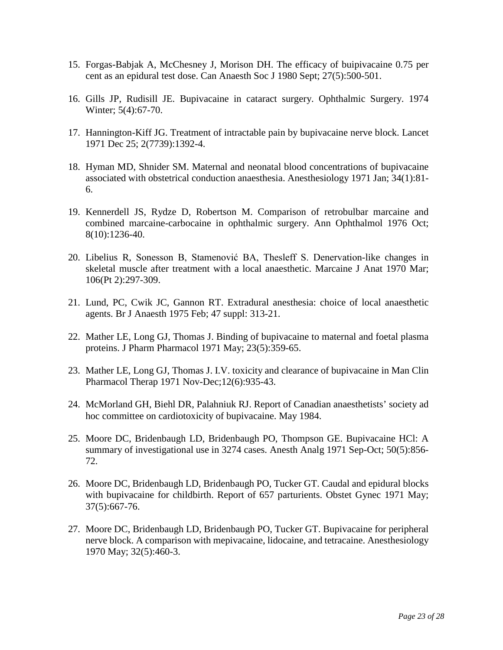- 15. Forgas-Babjak A, McChesney J, Morison DH. The efficacy of buipivacaine 0.75 per cent as an epidural test dose. Can Anaesth Soc J 1980 Sept; 27(5):500-501.
- 16. Gills JP, Rudisill JE. Bupivacaine in cataract surgery. Ophthalmic Surgery. 1974 Winter; 5(4):67-70.
- 17. Hannington-Kiff JG. Treatment of intractable pain by bupivacaine nerve block. Lancet 1971 Dec 25; 2(7739):1392-4.
- 18. Hyman MD, Shnider SM. Maternal and neonatal blood concentrations of bupivacaine associated with obstetrical conduction anaesthesia. Anesthesiology 1971 Jan; 34(1):81- 6.
- 19. Kennerdell JS, Rydze D, Robertson M. Comparison of retrobulbar marcaine and combined marcaine-carbocaine in ophthalmic surgery. Ann Ophthalmol 1976 Oct; 8(10):1236-40.
- 20. Libelius R, Sonesson B, Stamenović BA, Thesleff S. Denervation-like changes in skeletal muscle after treatment with a local anaesthetic. Marcaine J Anat 1970 Mar; 106(Pt 2):297-309.
- 21. Lund, PC, Cwik JC, Gannon RT. Extradural anesthesia: choice of local anaesthetic agents. Br J Anaesth 1975 Feb; 47 suppl: 313-21.
- 22. Mather LE, Long GJ, Thomas J. Binding of bupivacaine to maternal and foetal plasma proteins. J Pharm Pharmacol 1971 May; 23(5):359-65.
- 23. Mather LE, Long GJ, Thomas J. I.V. toxicity and clearance of bupivacaine in Man Clin Pharmacol Therap 1971 Nov-Dec;12(6):935-43.
- 24. McMorland GH, Biehl DR, Palahniuk RJ. Report of Canadian anaesthetists' society ad hoc committee on cardiotoxicity of bupivacaine. May 1984.
- 25. Moore DC, Bridenbaugh LD, Bridenbaugh PO, Thompson GE. Bupivacaine HCl: A summary of investigational use in 3274 cases. Anesth Analg 1971 Sep-Oct; 50(5):856- 72.
- 26. Moore DC, Bridenbaugh LD, Bridenbaugh PO, Tucker GT. Caudal and epidural blocks with bupivacaine for childbirth. Report of 657 parturients. Obstet Gynec 1971 May; 37(5):667-76.
- 27. Moore DC, Bridenbaugh LD, Bridenbaugh PO, Tucker GT. Bupivacaine for peripheral nerve block. A comparison with mepivacaine, lidocaine, and tetracaine. Anesthesiology 1970 May; 32(5):460-3.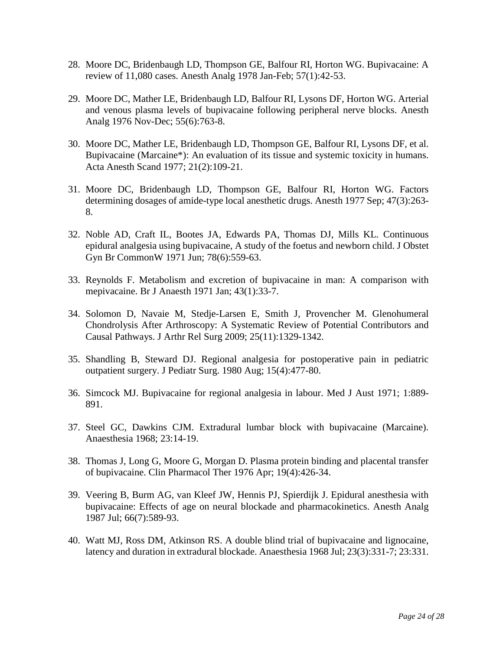- 28. Moore DC, Bridenbaugh LD, Thompson GE, Balfour RI, Horton WG. Bupivacaine: A review of 11,080 cases. Anesth Analg 1978 Jan-Feb; 57(1):42-53.
- 29. Moore DC, Mather LE, Bridenbaugh LD, Balfour RI, Lysons DF, Horton WG. Arterial and venous plasma levels of bupivacaine following peripheral nerve blocks. Anesth Analg 1976 Nov-Dec; 55(6):763-8.
- 30. Moore DC, Mather LE, Bridenbaugh LD, Thompson GE, Balfour RI, Lysons DF, et al. Bupivacaine (Marcaine\*): An evaluation of its tissue and systemic toxicity in humans. Acta Anesth Scand 1977; 21(2):109-21.
- 31. Moore DC, Bridenbaugh LD, Thompson GE, Balfour RI, Horton WG. Factors determining dosages of amide-type local anesthetic drugs. Anesth 1977 Sep; 47(3):263- 8.
- 32. Noble AD, Craft IL, Bootes JA, Edwards PA, Thomas DJ, Mills KL. Continuous epidural analgesia using bupivacaine, A study of the foetus and newborn child. J Obstet Gyn Br CommonW 1971 Jun; 78(6):559-63.
- 33. Reynolds F. Metabolism and excretion of bupivacaine in man: A comparison with mepivacaine. Br J Anaesth 1971 Jan; 43(1):33-7.
- 34. Solomon D, Navaie M, Stedje-Larsen E, Smith J, Provencher M. Glenohumeral Chondrolysis After Arthroscopy: A Systematic Review of Potential Contributors and Causal Pathways. J Arthr Rel Surg 2009; 25(11):1329-1342.
- 35. Shandling B, Steward DJ. Regional analgesia for postoperative pain in pediatric outpatient surgery. J Pediatr Surg. 1980 Aug; 15(4):477-80.
- 36. Simcock MJ. Bupivacaine for regional analgesia in labour. Med J Aust 1971; 1:889- 891.
- 37. Steel GC, Dawkins CJM. Extradural lumbar block with bupivacaine (Marcaine). Anaesthesia 1968; 23:14-19.
- 38. Thomas J, Long G, Moore G, Morgan D. Plasma protein binding and placental transfer of bupivacaine. Clin Pharmacol Ther 1976 Apr; 19(4):426-34.
- 39. Veering B, Burm AG, van Kleef JW, Hennis PJ, Spierdijk J. Epidural anesthesia with bupivacaine: Effects of age on neural blockade and pharmacokinetics. Anesth Analg 1987 Jul; 66(7):589-93.
- 40. Watt MJ, Ross DM, Atkinson RS. A double blind trial of bupivacaine and lignocaine, latency and duration in extradural blockade. Anaesthesia 1968 Jul; 23(3):331-7; 23:331.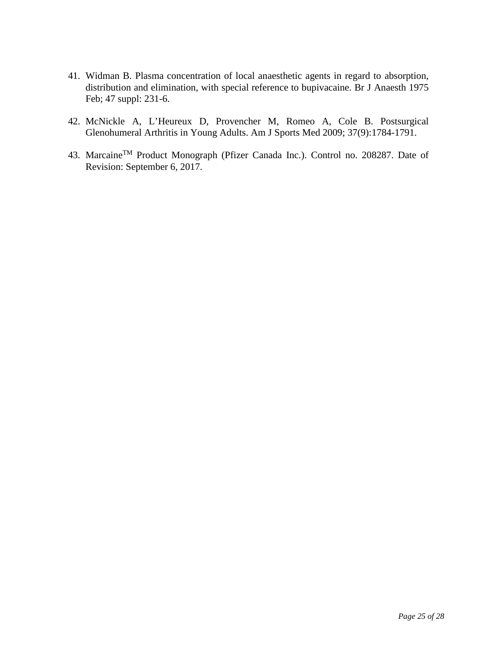- 41. Widman B. Plasma concentration of local anaesthetic agents in regard to absorption, distribution and elimination, with special reference to bupivacaine. Br J Anaesth 1975 Feb; 47 suppl: 231-6.
- 42. McNickle A, L'Heureux D, Provencher M, Romeo A, Cole B. Postsurgical Glenohumeral Arthritis in Young Adults. Am J Sports Med 2009; 37(9):1784-1791.
- 43. Marcaine™ Product Monograph (Pfizer Canada Inc.). Control no. 208287. Date of Revision: September 6, 2017.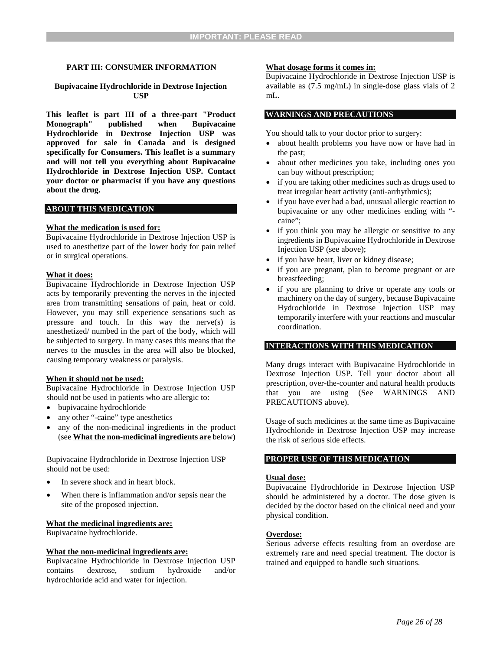#### <span id="page-25-0"></span>**PART III: CONSUMER INFORMATION**

#### **Bupivacaine Hydrochloride in Dextrose Injection USP**

**This leaflet is part III of a three-part "Product Monograph" published when Bupivacaine Hydrochloride in Dextrose Injection USP was approved for sale in Canada and is designed specifically for Consumers. This leaflet is a summary and will not tell you everything about Bupivacaine Hydrochloride in Dextrose Injection USP. Contact your doctor or pharmacist if you have any questions about the drug.** 

#### **ABOUT THIS MEDICATION**

#### **What the medication is used for:**

Bupivacaine Hydrochloride in Dextrose Injection USP is used to anesthetize part of the lower body for pain relief or in surgical operations.

#### **What it does:**

Bupivacaine Hydrochloride in Dextrose Injection USP acts by temporarily preventing the nerves in the injected area from transmitting sensations of pain, heat or cold. However, you may still experience sensations such as pressure and touch. In this way the nerve(s) is anesthetized/ numbed in the part of the body, which will be subjected to surgery. In many cases this means that the nerves to the muscles in the area will also be blocked, causing temporary weakness or paralysis.

#### **When it should not be used:**

Bupivacaine Hydrochloride in Dextrose Injection USP should not be used in patients who are allergic to:

- bupivacaine hydrochloride
- any other "-caine" type anesthetics
- any of the non-medicinal ingredients in the product (see **What the non-medicinal ingredients are** below)

Bupivacaine Hydrochloride in Dextrose Injection USP should not be used:

- In severe shock and in heart block.
- When there is inflammation and/or sepsis near the site of the proposed injection.

#### **What the medicinal ingredients are:**

Bupivacaine hydrochloride.

#### **What the non-medicinal ingredients are:**

Bupivacaine Hydrochloride in Dextrose Injection USP contains dextrose, sodium hydroxide and/or hydrochloride acid and water for injection.

#### **What dosage forms it comes in:**

Bupivacaine Hydrochloride in Dextrose Injection USP is available as (7.5 mg/mL) in single-dose glass vials of 2 mL.

#### **WARNINGS AND PRECAUTIONS**

You should talk to your doctor prior to surgery:

- about health problems you have now or have had in the past;
- about other medicines you take, including ones you can buy without prescription;
- if you are taking other medicines such as drugs used to treat irregular heart activity (anti-arrhythmics);
- if you have ever had a bad, unusual allergic reaction to bupivacaine or any other medicines ending with " caine";
- if you think you may be allergic or sensitive to any ingredients in Bupivacaine Hydrochloride in Dextrose Injection USP (see above);
- if you have heart, liver or kidney disease;
- if you are pregnant, plan to become pregnant or are breastfeeding;
- if you are planning to drive or operate any tools or machinery on the day of surgery, because Bupivacaine Hydrochloride in Dextrose Injection USP may temporarily interfere with your reactions and muscular coordination.

#### **INTERACTIONS WITH THIS MEDICATION**

Many drugs interact with Bupivacaine Hydrochloride in Dextrose Injection USP. Tell your doctor about all prescription, over-the-counter and natural health products that you are using (See WARNINGS AND PRECAUTIONS above).

Usage of such medicines at the same time as Bupivacaine Hydrochloride in Dextrose Injection USP may increase the risk of serious side effects.

#### **PROPER USE OF THIS MEDICATION**

#### **Usual dose:**

Bupivacaine Hydrochloride in Dextrose Injection USP should be administered by a doctor. The dose given is decided by the doctor based on the clinical need and your physical condition.

#### **Overdose:**

Serious adverse effects resulting from an overdose are extremely rare and need special treatment. The doctor is trained and equipped to handle such situations.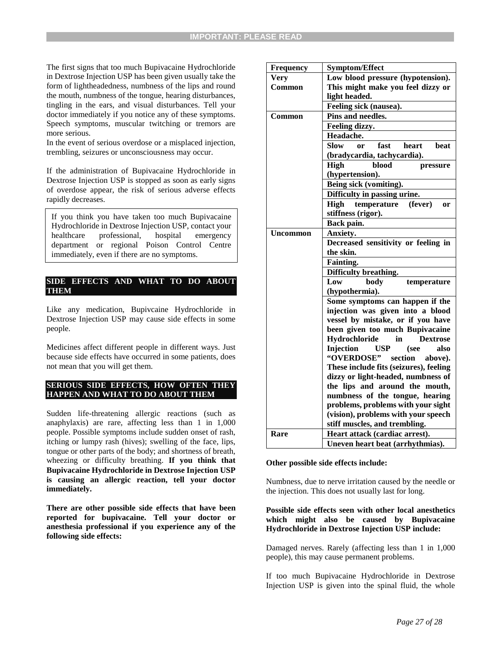The first signs that too much Bupivacaine Hydrochloride in Dextrose Injection USP has been given usually take the form of lightheadedness, numbness of the lips and round the mouth, numbness of the tongue, hearing disturbances, tingling in the ears, and visual disturbances. Tell your doctor immediately if you notice any of these symptoms. Speech symptoms, muscular twitching or tremors are more serious.

In the event of serious overdose or a misplaced injection, trembling, seizures or unconsciousness may occur.

If the administration of Bupivacaine Hydrochloride in Dextrose Injection USP is stopped as soon as early signs of overdose appear, the risk of serious adverse effects rapidly decreases.

If you think you have taken too much Bupivacaine Hydrochloride in Dextrose Injection USP, contact your healthcare professional, hospital emergency department or regional Poison Control Centre immediately, even if there are no symptoms.

#### **SIDE EFFECTS AND WHAT TO DO ABOUT THEM**

Like any medication, Bupivcaine Hydrochloride in Dextrose Injection USP may cause side effects in some people.

Medicines affect different people in different ways. Just because side effects have occurred in some patients, does not mean that you will get them.

#### **SERIOUS SIDE EFFECTS, HOW OFTEN THEY HAPPEN AND WHAT TO DO ABOUT THEM**

Sudden life-threatening allergic reactions (such as anaphylaxis) are rare, affecting less than 1 in 1,000 people. Possible symptoms include sudden onset of rash, itching or lumpy rash (hives); swelling of the face, lips, tongue or other parts of the body; and shortness of breath, wheezing or difficulty breathing. **If you think that Bupivacaine Hydrochloride in Dextrose Injection USP is causing an allergic reaction, tell your doctor immediately.** 

**There are other possible side effects that have been reported for bupivacaine. Tell your doctor or anesthesia professional if you experience any of the following side effects:** 

| <b>Frequency</b> | <b>Symptom/Effect</b>                                 |  |  |
|------------------|-------------------------------------------------------|--|--|
| <b>Very</b>      | Low blood pressure (hypotension).                     |  |  |
| Common           | This might make you feel dizzy or                     |  |  |
|                  | light headed.                                         |  |  |
|                  | Feeling sick (nausea).                                |  |  |
| Common           | Pins and needles.                                     |  |  |
|                  | Feeling dizzy.                                        |  |  |
|                  | Headache.                                             |  |  |
|                  | <b>Slow</b><br>fast<br>heart<br>beat<br><sub>or</sub> |  |  |
|                  | (bradycardia, tachycardia).                           |  |  |
|                  | blood<br><b>High</b><br>pressure                      |  |  |
|                  | (hypertension).                                       |  |  |
|                  | Being sick (vomiting).                                |  |  |
|                  | Difficulty in passing urine.                          |  |  |
|                  | High temperature<br>(fever)<br>or                     |  |  |
|                  | stiffness (rigor).                                    |  |  |
|                  | Back pain.                                            |  |  |
| <b>Uncommon</b>  | Anxiety.                                              |  |  |
|                  | Decreased sensitivity or feeling in                   |  |  |
|                  | the skin.                                             |  |  |
|                  | <b>Fainting.</b>                                      |  |  |
|                  | Difficulty breathing.                                 |  |  |
|                  | Low<br>body<br>temperature                            |  |  |
|                  | (hypothermia).                                        |  |  |
|                  | Some symptoms can happen if the                       |  |  |
|                  | injection was given into a blood                      |  |  |
|                  | vessel by mistake, or if you have                     |  |  |
|                  | been given too much Bupivacaine                       |  |  |
|                  | Hydrochloride<br>in<br><b>Dextrose</b>                |  |  |
|                  | Injection<br><b>USP</b><br>also<br>(see               |  |  |
|                  | "OVERDOSE"<br>section<br>above).                      |  |  |
|                  | These include fits (seizures), feeling                |  |  |
|                  | dizzy or light-headed, numbness of                    |  |  |
|                  | the lips and around the mouth,                        |  |  |
|                  | numbness of the tongue, hearing                       |  |  |
|                  | problems, problems with your sight                    |  |  |
|                  | (vision), problems with your speech                   |  |  |
|                  | stiff muscles, and trembling.                         |  |  |
| Rare             | Heart attack (cardiac arrest).                        |  |  |
|                  | Uneven heart beat (arrhythmias).                      |  |  |

#### **Other possible side effects include:**

Numbness, due to nerve irritation caused by the needle or the injection. This does not usually last for long.

#### **Possible side effects seen with other local anesthetics which might also be caused by Bupivacaine Hydrochloride in Dextrose Injection USP include:**

Damaged nerves. Rarely (affecting less than 1 in 1,000 people), this may cause permanent problems.

If too much Bupivacaine Hydrochloride in Dextrose Injection USP is given into the spinal fluid, the whole